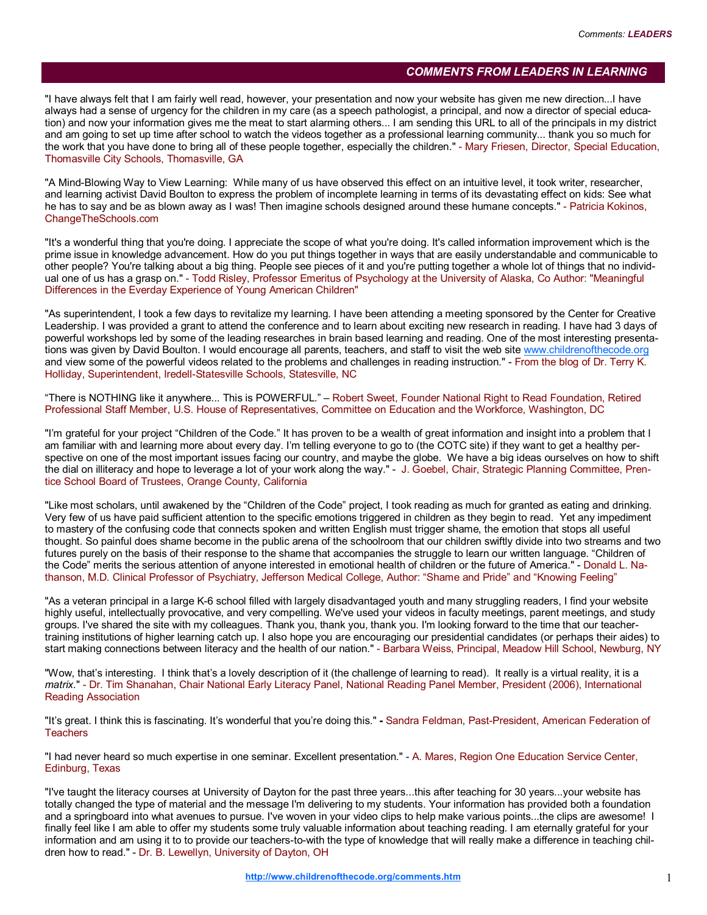## COMMENTS FROM LEADERS IN LEARNING

"I have always felt that I am fairly well read, however, your presentation and now your website has given me new direction...I have always had a sense of urgency for the children in my care (as a speech pathologist, a principal, and now a director of special education) and now your information gives me the meat to start alarming others... I am sending this URL to all of the principals in my district and am going to set up time after school to watch the videos together as a professional learning community... thank you so much for the work that you have done to bring all of these people together, especially the children." - Mary Friesen, Director, Special Education, Thomasville City Schools, Thomasville, GA

"A Mind-Blowing Way to View Learning: While many of us have observed this effect on an intuitive level, it took writer, researcher, and learning activist David Boulton to express the problem of incomplete learning in terms of its devastating effect on kids: See what he has to say and be as blown away as I was! Then imagine schools designed around these humane concepts." - Patricia Kokinos, ChangeTheSchools.com

"It's a wonderful thing that you're doing. I appreciate the scope of what you're doing. It's called information improvement which is the prime issue in knowledge advancement. How do you put things together in ways that are easily understandable and communicable to other people? You're talking about a big thing. People see pieces of it and you're putting together a whole lot of things that no individual one of us has a grasp on." - Todd Risley, Professor Emeritus of Psychology at the University of Alaska, Co Author: "Meaningful Differences in the Everday Experience of Young American Children"

"As superintendent, I took a few days to revitalize my learning. I have been attending a meeting sponsored by the Center for Creative Leadership. I was provided a grant to attend the conference and to learn about exciting new research in reading. I have had 3 days of powerful workshops led by some of the leading researches in brain based learning and reading. One of the most interesting presentations was given by David Boulton. I would encourage all parents, teachers, and staff to visit the web site www.childrenofthecode.org and view some of the powerful videos related to the problems and challenges in reading instruction." - From the blog of Dr. Terry K. Holliday, Superintendent, Iredell-Statesville Schools, Statesville, NC

"There is NOTHING like it anywhere... This is POWERFUL." – Robert Sweet, Founder National Right to Read Foundation, Retired Professional Staff Member, U.S. House of Representatives, Committee on Education and the Workforce, Washington, DC

"I'm grateful for your project "Children of the Code." It has proven to be a wealth of great information and insight into a problem that I am familiar with and learning more about every day. I'm telling everyone to go to (the COTC site) if they want to get a healthy perspective on one of the most important issues facing our country, and maybe the globe. We have a big ideas ourselves on how to shift the dial on illiteracy and hope to leverage a lot of your work along the way." - J. Goebel, Chair, Strategic Planning Committee, Prentice School Board of Trustees, Orange County, California

"Like most scholars, until awakened by the "Children of the Code" project, I took reading as much for granted as eating and drinking. Very few of us have paid sufficient attention to the specific emotions triggered in children as they begin to read. Yet any impediment to mastery of the confusing code that connects spoken and written English must trigger shame, the emotion that stops all useful thought. So painful does shame become in the public arena of the schoolroom that our children swiftly divide into two streams and two futures purely on the basis of their response to the shame that accompanies the struggle to learn our written language. "Children of the Code" merits the serious attention of anyone interested in emotional health of children or the future of America." - Donald L. Nathanson, M.D. Clinical Professor of Psychiatry, Jefferson Medical College, Author: "Shame and Pride" and "Knowing Feeling"

"As a veteran principal in a large K-6 school filled with largely disadvantaged youth and many struggling readers, I find your website highly useful, intellectually provocative, and very compelling. We've used your videos in faculty meetings, parent meetings, and study groups. I've shared the site with my colleagues. Thank you, thank you, thank you. I'm looking forward to the time that our teachertraining institutions of higher learning catch up. I also hope you are encouraging our presidential candidates (or perhaps their aides) to start making connections between literacy and the health of our nation." - Barbara Weiss, Principal, Meadow Hill School, Newburg, NY

"Wow, that's interesting. I think that's a lovely description of it (the challenge of learning to read). It really is a virtual reality, it is a matrix." - Dr. Tim Shanahan, Chair National Early Literacy Panel, National Reading Panel Member, President (2006), International Reading Association

"It's great. I think this is fascinating. It's wonderful that you're doing this." - Sandra Feldman, Past-President, American Federation of **Teachers** 

"I had never heard so much expertise in one seminar. Excellent presentation." - A. Mares, Region One Education Service Center, Edinburg, Texas

"I've taught the literacy courses at University of Dayton for the past three years...this after teaching for 30 years...your website has totally changed the type of material and the message I'm delivering to my students. Your information has provided both a foundation and a springboard into what avenues to pursue. I've woven in your video clips to help make various points...the clips are awesome! I finally feel like I am able to offer my students some truly valuable information about teaching reading. I am eternally grateful for your information and am using it to to provide our teachers-to-with the type of knowledge that will really make a difference in teaching children how to read." - Dr. B. Lewellyn, University of Dayton, OH